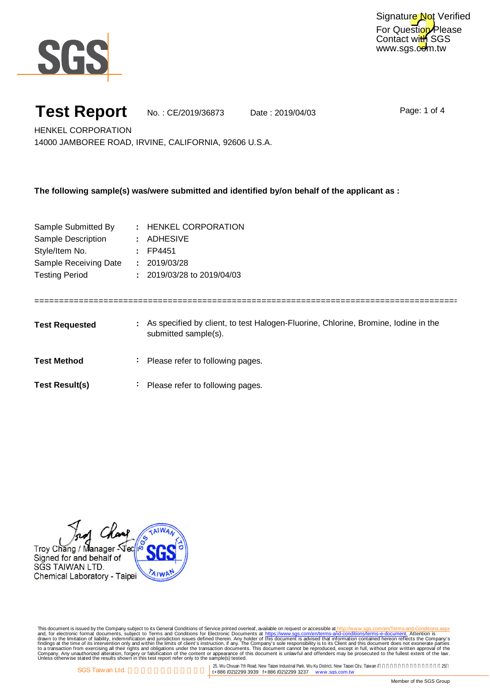

### **Test Report**

No. : CE/2019/36873 Date : 2019/04/03

Page: 1 of 4

HENKEL CORPORATION 14000 JAMBOREE ROAD, IRVINE, CALIFORNIA, 92606 U.S.A.

**The following sample(s) was/were submitted and identified by/on behalf of the applicant as :**

| Sample Submitted By   | : HENKEL CORPORATION       |
|-----------------------|----------------------------|
| Sample Description    | : ADHESIVE                 |
| Style/Item No.        | $:$ FP4451                 |
| Sample Receiving Date | : 2019/03/28               |
| <b>Testing Period</b> | : 2019/03/28 to 2019/04/03 |
|                       |                            |

Test Requested **1.** As specified by client, to test Halogen-Fluorine, Chlorine, Bromine, Iodine in the Test Method **Please refer to following pages.** submitted sample(s).

============================================================================================

Test Result(s)  $\qquad \qquad$  Please refer to following pages.

Troy Chang / Manager - Vec/ Signed for and behalf of SGS TAIWAN LTD. A<sub>IW</sub> Chemical Laboratory - Taipei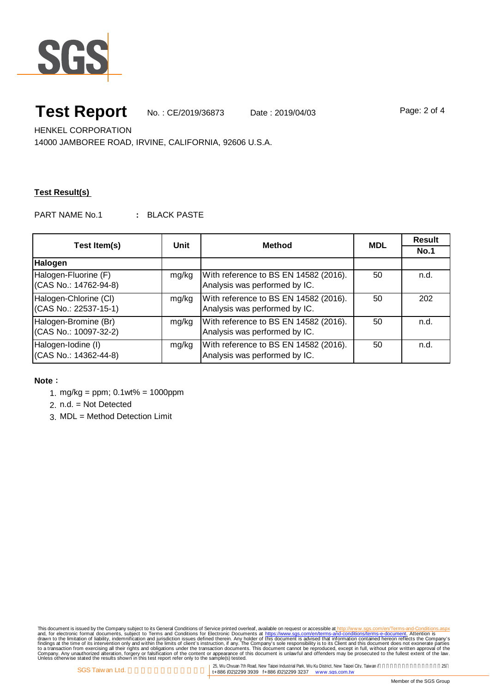

# **Test Report** No. : CE/2019/36873 Date : 2019/04/03

Page: 2 of 4

HENKEL CORPORATION

14000 JAMBOREE ROAD, IRVINE, CALIFORNIA, 92606 U.S.A.

### **Test Result(s)**

PART NAME No.1 : BLACK PASTE

| Test Item(s)                                   | Unit  | <b>Method</b>                                                          | <b>MDL</b> | <b>Result</b> |
|------------------------------------------------|-------|------------------------------------------------------------------------|------------|---------------|
|                                                |       |                                                                        |            | No.1          |
| Halogen                                        |       |                                                                        |            |               |
| Halogen-Fluorine (F)<br>(CAS No.: 14762-94-8)  | mg/kg | With reference to BS EN 14582 (2016).<br>Analysis was performed by IC. | 50         | n.d.          |
| Halogen-Chlorine (CI)<br>(CAS No.: 22537-15-1) | mg/kg | With reference to BS EN 14582 (2016).<br>Analysis was performed by IC. | 50         | 202           |
| Halogen-Bromine (Br)<br>(CAS No.: 10097-32-2)  | mg/kg | With reference to BS EN 14582 (2016).<br>Analysis was performed by IC. | 50         | n.d.          |
| Halogen-Iodine (I)<br>(CAS No.: 14362-44-8)    | mg/kg | With reference to BS EN 14582 (2016).<br>Analysis was performed by IC. | 50         | n.d.          |

### **Note**:

- 1. mg/kg = ppm; 0.1wt% = 1000ppm
- 2. n.d. = Not Detected
- 3. MDL = Method Detection Limit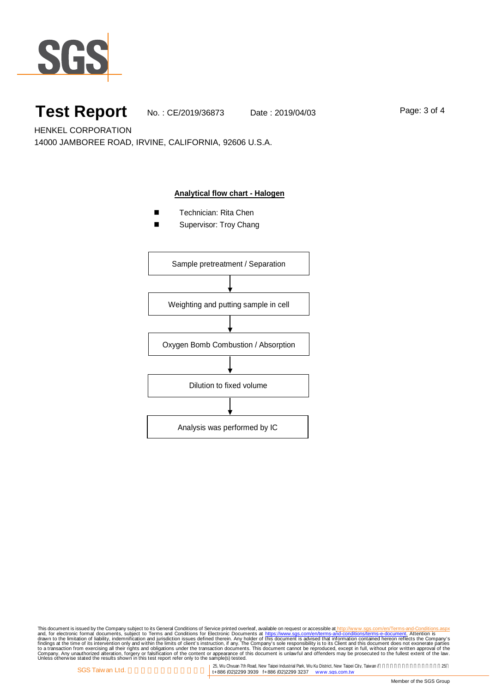

## Test Report No. : CE/2019/36873 Date : 2019/04/03

Page: 3 of 4

HENKEL CORPORATION 14000 JAMBOREE ROAD, IRVINE, CALIFORNIA, 92606 U.S.A.

#### **Analytical flow chart - Halogen**

- Technician: Rita Chen
- Supervisor: Troy Chang